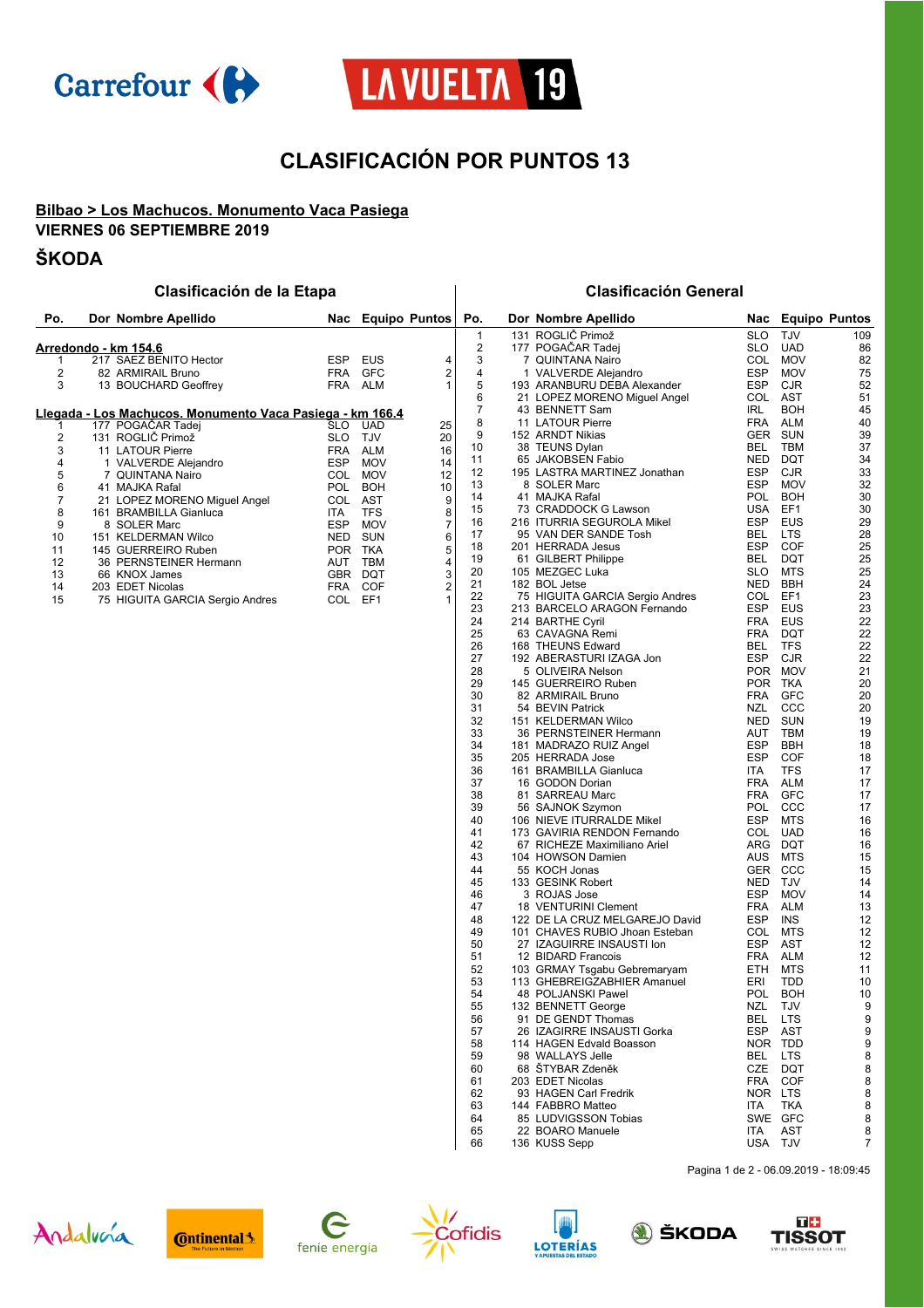



# **CLASIFICACIÓN POR PUNTOS 13**

### **Bilbao > Los Machucos. Monumento Vaca Pasiega VIERNES 06 SEPTIEMBRE 2019**

## **ŠKODA**

## **Clasificación de la Etapa Clasificación General**

| Po.                     | Dor Nombre Apellido                                               | Nac        |            | <b>Equipo Puntos</b>      | Po.            | Dor Nombre Apellido             |            |            | Nac Equipo Puntos |
|-------------------------|-------------------------------------------------------------------|------------|------------|---------------------------|----------------|---------------------------------|------------|------------|-------------------|
|                         |                                                                   |            |            |                           | $\mathbf{1}$   | 131 ROGLIČ Primož               | <b>SLO</b> | <b>TJV</b> | 109               |
|                         | <u> Arredondo - km 154.6</u>                                      |            |            |                           | $\overline{2}$ | 177 POGAČAR Tadej               | SLO        | <b>UAD</b> | 86                |
| 1                       | 217 SAEZ BENITO Hector                                            | ESP        | EUS        | 4                         | 3              | 7 QUINTANA Nairo                | COL        | <b>MOV</b> | 82                |
| $\overline{2}$          | 82 ARMIRAIL Bruno                                                 | <b>FRA</b> | <b>GFC</b> | 2                         | 4              | 1 VALVERDE Alejandro            | <b>ESP</b> | <b>MOV</b> | 75                |
| 3                       | 13 BOUCHARD Geoffrey                                              | FRA ALM    |            | 1                         | 5              | 193 ARANBURU DEBA Alexander     | ESP        | <b>CJR</b> | 52                |
|                         |                                                                   |            |            |                           | 6              | 21 LOPEZ MORENO Miguel Angel    | COL AST    |            | 51                |
|                         | <u> Llegada - Los Machucos. Monumento Vaca Pasiega - km 166.4</u> |            |            |                           | $\overline{7}$ | 43 BENNETT Sam                  | IRL        | <b>BOH</b> | 45                |
| 1                       | 177 POGACAR Tadej                                                 | SLO        | <b>UAD</b> | 25                        | 8              | 11 LATOUR Pierre                | FRA ALM    |            | 40                |
| $\overline{\mathbf{c}}$ | 131 ROGLIČ Primož                                                 | SLO TJV    |            | 20                        | 9              | 152 ARNDT Nikias                | GER SUN    |            | 39                |
| 3                       | 11 LATOUR Pierre                                                  |            | FRA ALM    | 16                        | 10             | 38 TEUNS Dylan                  | BEL        | TBM        | 37                |
| 4                       | 1 VALVERDE Alejandro                                              | ESP        | <b>MOV</b> | 14                        | 11             | 65 JAKOBSEN Fabio               | NED        | DQT        | 34                |
| 5                       | 7 QUINTANA Nairo                                                  |            | COL MOV    | 12                        | 12             | 195 LASTRA MARTINEZ Jonathan    | ESP        | CJR        | 33                |
| 6                       | 41 MAJKA Rafal                                                    | POL        | <b>BOH</b> | 10                        | 13             | 8 SOLER Marc                    | <b>ESP</b> | <b>MOV</b> | 32                |
| 7                       | 21 LOPEZ MORENO Miguel Angel                                      | COL AST    |            | 9                         | 14             | 41 MAJKA Rafal                  | <b>POL</b> | <b>BOH</b> | 30                |
| 8                       | 161 BRAMBILLA Gianluca                                            | ITA        | <b>TFS</b> | 8                         | 15             | 73 CRADDOCK G Lawson            | USA        | EF1        | 30                |
| 9                       | 8 SOLER Marc                                                      | ESP        | <b>MOV</b> | $\overline{\mathfrak{c}}$ | 16             | 216 ITURRIA SEGUROLA Mikel      | ESP        | <b>EUS</b> | 29                |
| 10                      | 151 KELDERMAN Wilco                                               |            | NED SUN    | 6                         | 17             | 95 VAN DER SANDE Tosh           | BEL        | <b>LTS</b> | 28                |
| 11                      | 145 GUERREIRO Ruben                                               | POR TKA    |            | 5                         | 18             | 201 HERRADA Jesus               | ESP        | <b>COF</b> | 25                |
| 12                      | 36 PERNSTEINER Hermann                                            |            | AUT TBM    | 4                         | 19             | 61 GILBERT Philippe             | BEL        | <b>DQT</b> | 25                |
| 13                      | 66 KNOX James                                                     | GBR DQT    |            | 3                         | 20             | 105 MEZGEC Luka                 | SLO        | MTS        | 25                |
| 14                      | 203 EDET Nicolas                                                  | FRA        | <b>COF</b> | $\overline{c}$            | 21             | 182 BOL Jetse                   | NED BBH    |            | 24                |
| 15                      | 75 HIGUITA GARCIA Sergio Andres                                   | COL EF1    |            | $\mathbf{1}$              | 22             | 75 HIGUITA GARCIA Sergio Andres | COL        | EF1        | 23                |
|                         |                                                                   |            |            |                           | 23             | 213 BARCELO ARAGON Fernando     | ESP        | <b>EUS</b> | 23                |
|                         |                                                                   |            |            |                           | 24             | 214 BARTHE Cyril                | FRA EUS    |            | 22                |
|                         |                                                                   |            |            |                           | 25             | 63 CAVAGNA Remi                 | <b>FRA</b> | DQT        | 22                |
|                         |                                                                   |            |            |                           | 26             | 168 THEUNS Edward               | BEL        | <b>TFS</b> | 22                |
|                         |                                                                   |            |            |                           | 27             | 192 ABERASTURI IZAGA Jon        | ESP        | CJR        | 22                |
|                         |                                                                   |            |            |                           | 28             | 5 OLIVEIRA Nelson               |            | POR MOV    | 21                |
|                         |                                                                   |            |            |                           | 29             | 145 GUERREIRO Ruben             | POR TKA    |            | 20                |
|                         |                                                                   |            |            |                           | 30             | 82 ARMIRAIL Bruno               | FRA        | GFC        | 20                |
|                         |                                                                   |            |            |                           | 31             | 54 BEVIN Patrick                | NZL        | CCC        | 20                |
|                         |                                                                   |            |            |                           | 32             | 151 KELDERMAN Wilco             | <b>NED</b> | <b>SUN</b> | 19                |
|                         |                                                                   |            |            |                           | 33             | 36 PERNSTEINER Hermann          | AUT        | TBM        | 19                |
|                         |                                                                   |            |            |                           | 34             | 181 MADRAZO RUIZ Angel          | ESP        | BBH        | 18                |
|                         |                                                                   |            |            |                           | 35             | 205 HERRADA Jose                | ESP        | <b>COF</b> | 18                |
|                         |                                                                   |            |            |                           | 36             | 161 BRAMBILLA Gianluca          | ITA        | <b>TFS</b> | 17                |
|                         |                                                                   |            |            |                           | 37             | 16 GODON Dorian                 | FRA        | ALM        | 17                |
|                         |                                                                   |            |            |                           | 38             | 81 SARREAU Marc                 | <b>FRA</b> | <b>GFC</b> | 17                |
|                         |                                                                   |            |            |                           | 39             | 56 SAJNOK Szymon                | <b>POL</b> | CCC        | 17                |
|                         |                                                                   |            |            |                           | 40             | 106 NIEVE ITURRALDE Mikel       | ESP        | <b>MTS</b> | 16                |
|                         |                                                                   |            |            |                           | 41             | 173 GAVIRIA RENDON Fernando     | COL        | UAD        | 16                |
|                         |                                                                   |            |            |                           | 42             | 67 RICHEZE Maximiliano Ariel    | ARG        | DQT        | 16                |
|                         |                                                                   |            |            |                           | 43             | 104 HOWSON Damien               | AUS        | <b>MTS</b> | 15                |
|                         |                                                                   |            |            |                           | 44             | 55 KOCH Jonas                   | GER CCC    |            | 15                |
|                         |                                                                   |            |            |                           | 45             | 133 GESINK Robert               | NED        | TJV        | 14                |
|                         |                                                                   |            |            |                           | 46             | 3 ROJAS Jose                    | <b>ESP</b> | <b>MOV</b> | 14                |
|                         |                                                                   |            |            |                           | 47             | 18 VENTURINI Clement            | <b>FRA</b> | ALM        | 13                |
|                         |                                                                   |            |            |                           | 48             | 122 DE LA CRUZ MELGAREJO David  | ESP        | INS        | 12                |
|                         |                                                                   |            |            |                           | 49             | 101 CHAVES RUBIO Jhoan Esteban  | COL        | <b>MTS</b> | 12                |
|                         |                                                                   |            |            |                           | 50             | 27 IZAGUIRRE INSAUSTI Ion       | ESP        | AST        | 12                |
|                         |                                                                   |            |            |                           | 51             | 12 BIDARD Francois              | FRA        | ALM        | 12                |
|                         |                                                                   |            |            |                           | 52             | 103 GRMAY Tsgabu Gebremaryam    | ETH        | <b>MTS</b> | 11                |
|                         |                                                                   |            |            |                           | 53             | 113 GHEBREIGZABHIER Amanuel     | ERI        | TDD        | 10                |
|                         |                                                                   |            |            |                           | 54             | 48 POLJANSKI Pawel              |            | POL BOH    | 10                |
|                         |                                                                   |            |            |                           | 55             | 132 BENNETT George              | NZL TJV    |            |                   |
|                         |                                                                   |            |            |                           | 56             | 91 DE GENDT Thomas              | BEL LTS    |            | g                 |
|                         |                                                                   |            |            |                           | 57             | 26 IZAGIRRE INSAUSTI Gorka      | ESP        | AST        | 9                 |
|                         |                                                                   |            |            |                           | 58             | 114 HAGEN Edvald Boasson        | NOR TDD    |            | g                 |
|                         |                                                                   |            |            |                           | 59             | 98 WALLAYS Jelle                | BEL        | <b>LTS</b> | 8                 |
|                         |                                                                   |            |            |                           | 60             | 68 ŠTYBAR Zdeněk                | CZE DQT    |            | 8                 |
|                         |                                                                   |            |            |                           | 61             | 203 EDET Nicolas                | FRA        | COF        | 8                 |
|                         |                                                                   |            |            |                           | 62             | 93 HAGEN Carl Fredrik           | NOR LTS    |            | 8                 |
|                         |                                                                   |            |            |                           | 63             | 144 FABBRO Matteo               | ITA        | TKA        | 8                 |
|                         |                                                                   |            |            |                           | 64             | 85 LUDVIGSSON Tobias            | SWE GFC    |            | 8                 |
|                         |                                                                   |            |            |                           | 65             | 22 BOARO Manuele                | ITA        | AST        | 8                 |
|                         |                                                                   |            |            |                           | 66             | 136 KUSS Sepp                   | USA TJV    |            | 7                 |
|                         |                                                                   |            |            |                           |                |                                 |            |            |                   |

Pagina 1 de 2 - 06.09.2019 - 18:09:45